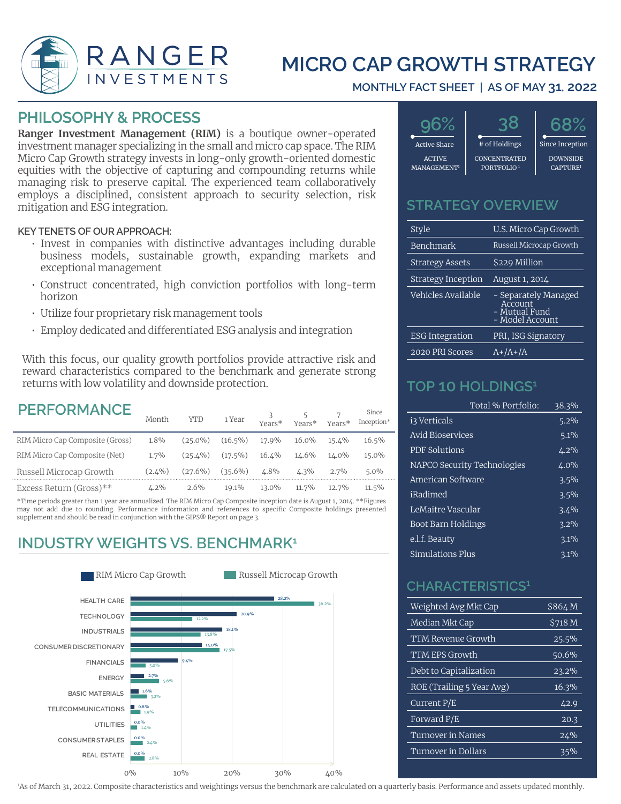

# **MICRO CAP GROWTH STRATEGY**

#### **MONTHLY FACT SHEET | AS OF MAY 31, 2022**

#### **PHILOSOPHY & PROCESS**

**Ranger Investment Management (RIM)** is a boutique owner-operated investment manager specializing in the small and micro cap space. The RIM Micro Cap Growth strategy invests in long-only growth-oriented domestic equities with the objective of capturing and compounding returns while managing risk to preserve capital. The experienced team collaboratively employs a disciplined, consistent approach to security selection, risk mitigation and ESG integration.

#### **KEY TENETS OF OUR APPROACH:**

- Invest in companies with distinctive advantages including durable business models, sustainable growth, expanding markets and exceptional management
- Construct concentrated, high conviction portfolios with long-term horizon
- Utilize four proprietary risk management tools
- Employ dedicated and differentiated ESG analysis and integration

With this focus, our quality growth portfolios provide attractive risk and reward characteristics compared to the benchmark and generate strong returns with low volatility and downside protection.

### **PERFORMANCE**

| LEN VIVITATUL                   | Month     | <b>YTD</b> | 1 Year     | Years*  | Years*    | Years*    | since<br>Inception* |
|---------------------------------|-----------|------------|------------|---------|-----------|-----------|---------------------|
| RIM Micro Cap Composite (Gross) | $1.8\%$   | $(25.0\%)$ | $(16.5\%)$ | 17.9%   | 16.0%     | $15.1\%$  | 16.5%               |
| RIM Micro Cap Composite (Net)   | $1.7\%$   | $(25.4\%)$ | $(17.5\%)$ | 16.4%   | $1/1.6\%$ | $1/1.0\%$ | 15.0%               |
| Russell Microcap Growth         | $(2.4\%)$ | $(27.6\%)$ | $(35.6\%)$ | $4.8\%$ | $4.3\%$   | $2.7\%$   | $5.0\%$             |
| Excess Return (Gross)**         | $4.2\%$   | $2.6\%$    | 19.1%      | 13.0%   | 11.7%     | $12.7\%$  | $11.5\%$            |

\*Time periods greater than 1 year are annualized. The RIM Micro Cap Composite inception date is August 1, 2014. \*\*Figures may not add due to rounding. Performance information and references to specific Composite holdings presented supplement and should be read in conjunction with the GIPS® Report on page 3.

## **INDUSTRY WEIGHTS VS. BENCHMARK<sup>1</sup>**





#### **STRATEGY OVERVIEW**

| Style                          | U.S. Micro Cap Growth                                               |
|--------------------------------|---------------------------------------------------------------------|
| <b>Benchmark</b>               | Russell Microcap Growth                                             |
| <b>Strategy Assets</b>         | \$229 Million                                                       |
| <b>Strategy Inception</b>      | August 1, 2014                                                      |
| Vehicles <del>Av</del> ailable | - Separately Managed<br>Account<br>- Mutual Fund<br>- Model Account |
| <b>ESG Integration</b>         | PRI, ISG Signatory                                                  |
| 2020 PRI Scores                | $A+/A+/A$                                                           |

#### **TOP 10 HOLDINGS1**

Since

|                             | Total % Portfolio: | 38.3%          |
|-----------------------------|--------------------|----------------|
| <u>i3 Verticals</u>         |                    | $\sqrt{5.2\%}$ |
| Avid Bioservices            |                    | 5.1%           |
| <b>PDF Solutions</b>        |                    | 4.2%           |
| NAPCO Security Technologies |                    | 4.0%           |
| American Software           |                    | $3.5\%$        |
| iRadimed                    |                    | 3.5%           |
| LeMaitre Vascular           |                    | 3.4%           |
| Boot Barn Holdings          |                    | $3.2\%$        |
| e.l.f. Beautv               |                    | 3.1%           |
| Simulations Plus            |                    | 3.1%           |

#### **CHARACTERISTICS1**

| Weighted Avg Mkt Cap      | \$864M             |
|---------------------------|--------------------|
| Median Mkt Cap            | \$718 <sub>M</sub> |
| TTM Revenue Growth        | 25.5%              |
| <b>TTM EPS Growth</b>     | 50.6%              |
| Debt to Capitalization    | 23.2%              |
| ROE (Trailing 5 Year Avg) | 16.3%              |
| Current P/E               | 42.9               |
| Forward P/E               | 20.3               |
| Turnover in Names         | 24%                |
| Turnover in Dollars       | 35%                |
|                           |                    |

1 As of March 31, 2022. Composite characteristics and weightings versus the benchmark are calculated on a quarterly basis. Performance and assets updated monthly.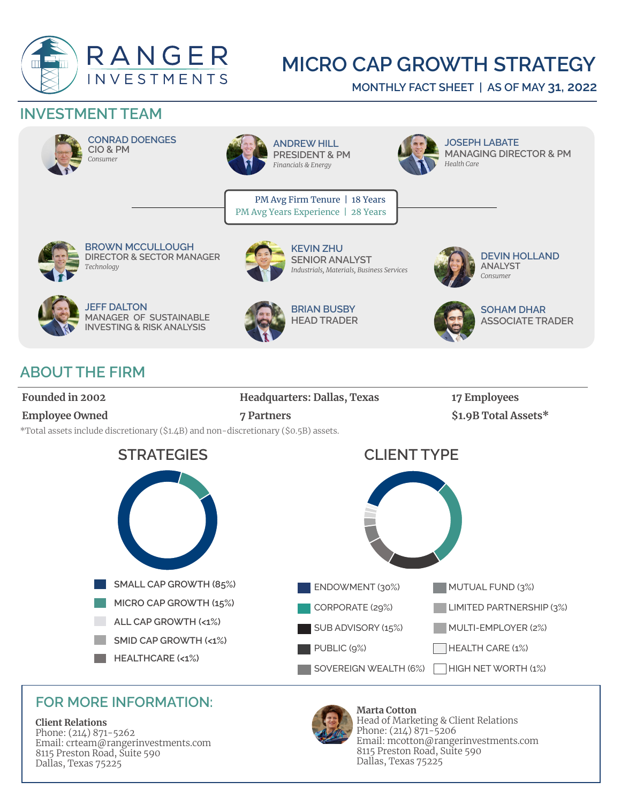

# **MICRO CAP GROWTH STRATEGY**

**MONTHLY FACT SHEET | AS OF MAY 31, 2022**

## **INVESTMENT TEAM**



**CONRAD DOENGES CIO & PM** *Consumer*



**ANDREW HILL PRESIDENT & PM** *Financials & Energy*

PM Avg Firm Tenure | 18 Years PM Avg Years Experience | 28 Years



**JOSEPH LABATE MANAGING DIRECTOR & PM** *Health Care* 



**BROWN MCCULLOUGH DIRECTOR & SECTOR MANAGER** *Technology*



**KEVIN ZHU SENIOR ANALYST**  *Industrials, Materials, Business Services*



**DEVIN HOLLAND ANALYST** *Consumer*



**JEFF DALTON MANAGER OF SUSTAINABLE INVESTING & RISK ANALYSIS**



**BRIAN BUSBY HEAD TRADER** 



**SOHAM DHAR ASSOCIATE TRADER** 

# **ABOUT THE FIRM**

**Founded in 2002 Headquarters: Dallas, Texas 17 Employees Employee Owned 7 Partners 31.9B Total Assets**\* \*Total assets include discretionary (\$1.4B) and non-discretionary (\$0.5B) assets.



### **FOR MORE INFORMATION:**

#### **Client Relations**

Phone: (214) 871-5262 Email: crteam@rangerinvestments.com 8115 Preston Road, Suite 590 Dallas, Texas 75225



**Marta Cotton**  Head of Marketing & Client Relations Phone: (214) 871-5206 Email: mcotton@rangerinvestments.com 8115 Preston Road, Suite 590 Dallas, Texas 75225